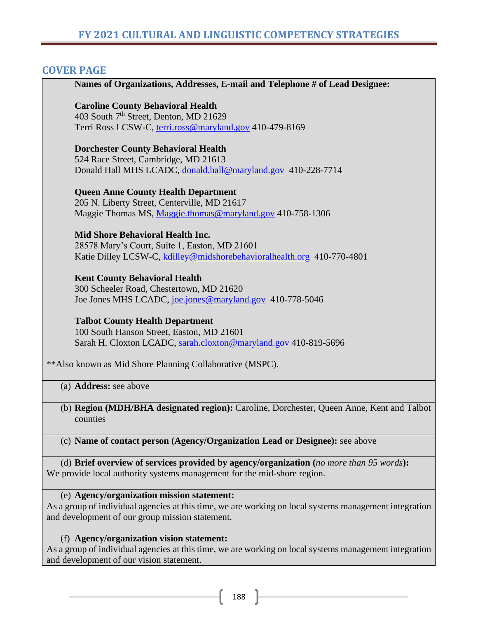### **COVER PAGE**

**Names of Organizations, Addresses, E-mail and Telephone # of Lead Designee: Caroline County Behavioral Health**  403 South 7<sup>th</sup> Street, Denton, MD 21629 Terri Ross LCSW-C, [terri.ross@maryland.gov](mailto:terri.ross@maryland.gov) 410-479-8169 **Dorchester County Behavioral Health** 524 Race Street, Cambridge, MD 21613 Donald Hall MHS LCADC, [donald.hall@maryland.gov](mailto:donald.hall@maryland.gov) 410-228-7714 **Queen Anne County Health Department** 205 N. Liberty Street, Centerville, MD 21617 Maggie Thomas MS, [Maggie.thomas@maryland.gov](mailto:Maggie.thomas@maryland.gov) 410-758-1306 **Mid Shore Behavioral Health Inc.** 28578 Mary's Court, Suite 1, Easton, MD 21601 Katie Dilley LCSW-C, [kdilley@midshorebehavioralhealth.org](mailto:kdilley@midshorebehavioralhealth.org) 410-770-4801 **Kent County Behavioral Health** 300 Scheeler Road, Chestertown, MD 21620 Joe Jones MHS LCADC, [joe.jones@maryland.gov](mailto:joe.jones@maryland.gov) 410-778-5046 **Talbot County Health Department** 100 South Hanson Street, Easton, MD 21601 Sarah H. Cloxton LCADC, [sarah.cloxton@maryland.gov](mailto:sarah.cloxton@maryland.gov) 410-819-5696

\*\*Also known as Mid Shore Planning Collaborative (MSPC).

(a) **Address:** see above

(b) **Region (MDH/BHA designated region):** Caroline, Dorchester, Queen Anne, Kent and Talbot counties

(c) **Name of contact person (Agency/Organization Lead or Designee):** see above

(d) **Brief overview of services provided by agency/organization (***no more than 95 words***):** We provide local authority systems management for the mid-shore region.

#### (e) **Agency/organization mission statement:**

As a group of individual agencies at this time, we are working on local systems management integration and development of our group mission statement.

#### (f) **Agency/organization vision statement:**

As a group of individual agencies at this time, we are working on local systems management integration and development of our vision statement.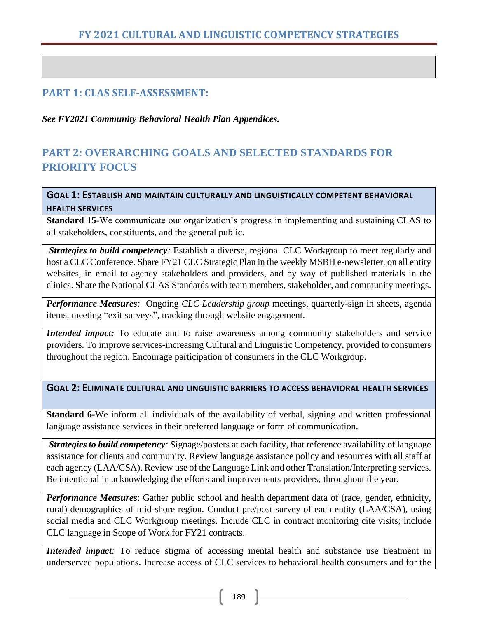## **FY 2021 CULTURAL AND LINGUISTIC COMPETENCY STRATEGIES**

### **PART 1: CLAS SELF-ASSESSMENT:**

*See FY2021 Community Behavioral Health Plan Appendices.*

# **PART 2: OVERARCHING GOALS AND SELECTED STANDARDS FOR PRIORITY FOCUS**

**GOAL 1: ESTABLISH AND MAINTAIN CULTURALLY AND LINGUISTICALLY COMPETENT BEHAVIORAL HEALTH SERVICES** 

**Standard 15**-We communicate our organization's progress in implementing and sustaining CLAS to all stakeholders, constituents, and the general public.

*Strategies to build competency:* Establish a diverse, regional CLC Workgroup to meet regularly and host a CLC Conference. Share FY21 CLC Strategic Plan in the weekly MSBH e-newsletter, on all entity websites, in email to agency stakeholders and providers, and by way of published materials in the clinics. Share the National CLAS Standards with team members, stakeholder, and community meetings.

*Performance Measures:* Ongoing *CLC Leadership group* meetings, quarterly-sign in sheets, agenda items, meeting "exit surveys", tracking through website engagement.

*Intended impact:* To educate and to raise awareness among community stakeholders and service providers. To improve services-increasing Cultural and Linguistic Competency, provided to consumers throughout the region. Encourage participation of consumers in the CLC Workgroup.

#### **GOAL 2: ELIMINATE CULTURAL AND LINGUISTIC BARRIERS TO ACCESS BEHAVIORAL HEALTH SERVICES**

**Standard 6-**We inform all individuals of the availability of verbal, signing and written professional language assistance services in their preferred language or form of communication.

*Strategies to build competency:* Signage/posters at each facility, that reference availability of language assistance for clients and community. Review language assistance policy and resources with all staff at each agency (LAA/CSA). Review use of the Language Link and other Translation/Interpreting services. Be intentional in acknowledging the efforts and improvements providers, throughout the year.

*Performance Measures*: Gather public school and health department data of (race, gender, ethnicity, rural) demographics of mid-shore region. Conduct pre/post survey of each entity (LAA/CSA), using social media and CLC Workgroup meetings. Include CLC in contract monitoring cite visits; include CLC language in Scope of Work for FY21 contracts.

*Intended impact*: To reduce stigma of accessing mental health and substance use treatment in underserved populations. Increase access of CLC services to behavioral health consumers and for the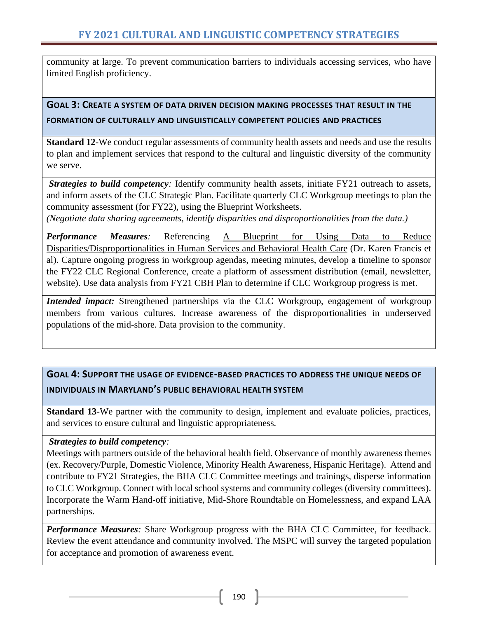community at large. To prevent communication barriers to individuals accessing services, who have limited English proficiency.

## **GOAL 3: CREATE A SYSTEM OF DATA DRIVEN DECISION MAKING PROCESSES THAT RESULT IN THE FORMATION OF CULTURALLY AND LINGUISTICALLY COMPETENT POLICIES AND PRACTICES**

**Standard 12***-*We conduct regular assessments of community health assets and needs and use the results to plan and implement services that respond to the cultural and linguistic diversity of the community we serve.

*Strategies to build competency:* Identify community health assets, initiate FY21 outreach to assets, and inform assets of the CLC Strategic Plan. Facilitate quarterly CLC Workgroup meetings to plan the community assessment (for FY22), using the Blueprint Worksheets.

*(Negotiate data sharing agreements, identify disparities and disproportionalities from the data.)*

*Performance Measures:* Referencing A Blueprint for Using Data to Reduce Disparities/Disproportionalities in Human Services and Behavioral Health Care (Dr. Karen Francis et al). Capture ongoing progress in workgroup agendas, meeting minutes, develop a timeline to sponsor the FY22 CLC Regional Conference, create a platform of assessment distribution (email, newsletter, website). Use data analysis from FY21 CBH Plan to determine if CLC Workgroup progress is met.

*Intended impact:* Strengthened partnerships via the CLC Workgroup, engagement of workgroup members from various cultures. Increase awareness of the disproportionalities in underserved populations of the mid-shore. Data provision to the community.

# **GOAL 4: SUPPORT THE USAGE OF EVIDENCE-BASED PRACTICES TO ADDRESS THE UNIQUE NEEDS OF INDIVIDUALS IN MARYLAND'S PUBLIC BEHAVIORAL HEALTH SYSTEM**

**Standard 13***-*We partner with the community to design, implement and evaluate policies, practices, and services to ensure cultural and linguistic appropriateness*.*

### *Strategies to build competency:*

Meetings with partners outside of the behavioral health field. Observance of monthly awareness themes (ex. Recovery/Purple, Domestic Violence, Minority Health Awareness, Hispanic Heritage). Attend and contribute to FY21 Strategies, the BHA CLC Committee meetings and trainings, disperse information to CLC Workgroup. Connect with local school systems and community colleges (diversity committees). Incorporate the Warm Hand-off initiative*,* Mid-Shore Roundtable on Homelessness, and expand LAA partnerships.

*Performance Measures:* Share Workgroup progress with the BHA CLC Committee, for feedback. Review the event attendance and community involved. The MSPC will survey the targeted population for acceptance and promotion of awareness event.